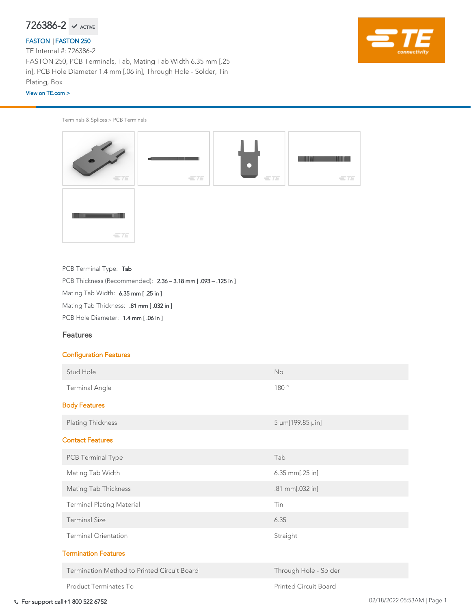For support call+1 800 522 6752 02/18/2022 05:53AM | Page 1

Terminals & Splices > PCB Terminals



PCB Terminal Type: Tab

PCB Thickness (Recommended): 2.36 – 3.18 mm [ .093 – .125 in ]

Mating Tab Width: 6.35 mm [.25 in ]

Mating Tab Thickness: .81 mm [ .032 in ]

PCB Hole Diameter: 1.4 mm [.06 in ]

## Features



## Configuration Features

$$
726386-2 \ \ \text{M}\ \ \text{ACTIVE}
$$

| Stud Hole                                          | <b>No</b>                    |  |  |  |  |
|----------------------------------------------------|------------------------------|--|--|--|--|
| <b>Terminal Angle</b>                              | 180°                         |  |  |  |  |
| <b>Body Features</b>                               |                              |  |  |  |  |
| <b>Plating Thickness</b>                           | 5 µm[199.85 µin]             |  |  |  |  |
| <b>Contact Features</b>                            |                              |  |  |  |  |
| PCB Terminal Type                                  | Tab                          |  |  |  |  |
| Mating Tab Width                                   | $6.35$ mm $[.25$ in]         |  |  |  |  |
| <b>Mating Tab Thickness</b>                        | .81 mm[.032 in]              |  |  |  |  |
| <b>Terminal Plating Material</b>                   | Tin                          |  |  |  |  |
| <b>Terminal Size</b>                               | 6.35                         |  |  |  |  |
| <b>Terminal Orientation</b>                        | Straight                     |  |  |  |  |
| <b>Termination Features</b>                        |                              |  |  |  |  |
| <b>Termination Method to Printed Circuit Board</b> | Through Hole - Solder        |  |  |  |  |
| <b>Product Terminates To</b>                       | <b>Printed Circuit Board</b> |  |  |  |  |

TE Internal #: 726386-2 FASTON 250, PCB Terminals, Tab, Mating Tab Width 6.35 mm [.25 in], PCB Hole Diameter 1.4 mm [.06 in], Through Hole - Solder, Tin Plating, Box

## [FASTON](https://www.te.com/usa-en/plp/ZnaA.html) | [FASTON 250](https://www.te.com/usa-en/plp/XrJe1l.html)

### [View on TE.com >](https://www.te.com/usa-en/product-726386-2.html)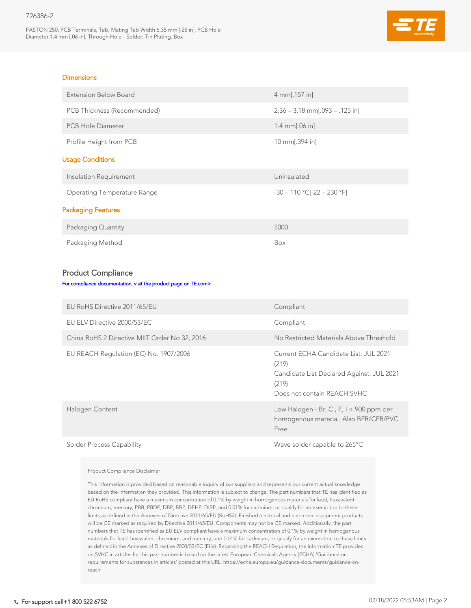FASTON 250, PCB Terminals, Tab, Mating Tab Width 6.35 mm [.25 in], PCB Hole Diameter 1.4 mm [.06 in], Through Hole - Solder, Tin Plating, Box



### **Dimensions**

| <b>Extension Below Board</b>                                    | 4 mm[.157 in]                    |  |  |  |  |
|-----------------------------------------------------------------|----------------------------------|--|--|--|--|
| PCB Thickness (Recommended)                                     | $2.36 - 3.18$ mm[.093 - .125 in] |  |  |  |  |
| <b>PCB Hole Diameter</b>                                        | 1.4 $mm[.06 in]$                 |  |  |  |  |
| Profile Height from PCB                                         | 10 mm[.394 in]                   |  |  |  |  |
| <b>Usage Conditions</b>                                         |                                  |  |  |  |  |
| <b>Insulation Requirement</b>                                   | Uninsulated                      |  |  |  |  |
| <b>Operating Temperature Range</b>                              | $-30 - 110$ °C[ $-22 - 230$ °F]  |  |  |  |  |
| <b>Packaging Features</b>                                       |                                  |  |  |  |  |
| <b>Packaging Quantity</b>                                       | 5000                             |  |  |  |  |
| Packaging Method                                                | Box                              |  |  |  |  |
|                                                                 |                                  |  |  |  |  |
| <b>Product Compliance</b>                                       |                                  |  |  |  |  |
| For compliance documentation, visit the product page on TE.com> |                                  |  |  |  |  |
| EU RoHS Directive 2011/65/EU                                    | Compliant                        |  |  |  |  |

EU ELV Directive 2000/53/EC Compliant

China RoHS 2 Directive MIIT Order No 32, 2016 No Restricted Materials Above Threshold

| EU REACH Regulation (EC) No. 1907/2006 | Current ECHA Candidate List: JUL 2021<br>(219)<br>Candidate List Declared Against: JUL 2021<br>(219)<br>Does not contain REACH SVHC |
|----------------------------------------|-------------------------------------------------------------------------------------------------------------------------------------|
| Halogen Content                        | Low Halogen - Br, Cl, F, $I < 900$ ppm per<br>homogenous material. Also BFR/CFR/PVC<br>Free                                         |
|                                        |                                                                                                                                     |

Solder Process Capability Solder Capability Solder capable to 265°C

Product Compliance Disclaimer

This information is provided based on reasonable inquiry of our suppliers and represents our current actual knowledge based on the information they provided. This information is subject to change. The part numbers that TE has identified as EU RoHS compliant have a maximum concentration of 0.1% by weight in homogenous materials for lead, hexavalent chromium, mercury, PBB, PBDE, DBP, BBP, DEHP, DIBP, and 0.01% for cadmium, or qualify for an exemption to these limits as defined in the Annexes of Directive 2011/65/EU (RoHS2). Finished electrical and electronic equipment products will be CE marked as required by Directive 2011/65/EU. Components may not be CE marked. Additionally, the part numbers that TE has identified as EU ELV compliant have a maximum concentration of 0.1% by weight in homogenous materials for lead, hexavalent chromium, and mercury, and 0.01% for cadmium, or qualify for an exemption to these limits as defined in the Annexes of Directive 2000/53/EC (ELV). Regarding the REACH Regulation, the information TE provides on SVHC in articles for this part number is based on the latest European Chemicals Agency (ECHA) 'Guidance on requirements for substances in articles' posted at this URL: https://echa.europa.eu/guidance-documents/guidance-onreach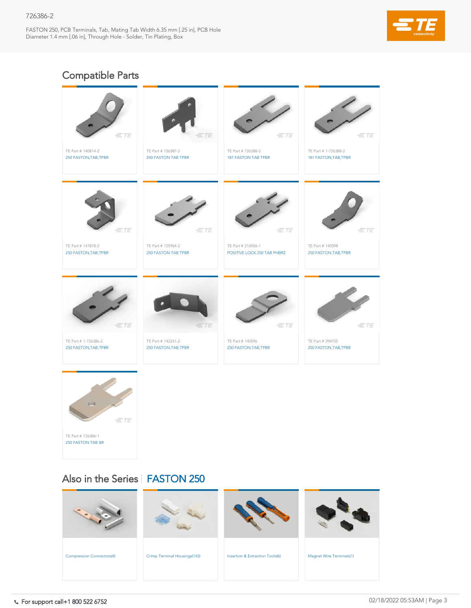FASTON 250, PCB Terminals, Tab, Mating Tab Width 6.35 mm [.25 in], PCB Hole Diameter 1.4 mm [.06 in], Through Hole - Solder, Tin Plating, Box



| <b>Compression Connectors(4)</b> | Crimp Terminal Housings(143) | <b>Insertion &amp; Extraction Tools(6)</b> | <b>Magnet Wire Terminals(1)</b> |
|----------------------------------|------------------------------|--------------------------------------------|---------------------------------|

TE Part # 394705

 $=$ TE

TE Part # 140596

| 250 FASTON, TAB, TPBR                                                  | 250 FASTON, TAB, TPBR | 250 FASTON, TAB, TPBR | 250 FASTON, TAB, TPBR |
|------------------------------------------------------------------------|-----------------------|-----------------------|-----------------------|
| $\hookrightarrow$<br>$=$ TE<br>TE Part # 726386-1<br>250 FASTON TAB BR |                       |                       |                       |
|                                                                        |                       |                       |                       |

 $=$ TE

# Also in the Series | [FASTON 250](https://www.te.com/usa-en/plp/XrJe1l.html)

 $=$ TE

TE Part # 142241-2

TE Part # 1-726386-2

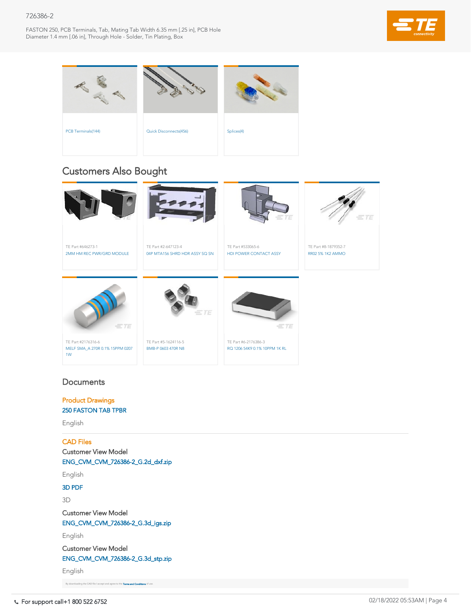FASTON 250, PCB Terminals, Tab, Mating Tab Width 6.35 mm [.25 in], PCB Hole Diameter 1.4 mm [.06 in], Through Hole - Solder, Tin Plating, Box



For support call+1 800 522 6752 02/18/2022 05:53AM | Page 4

TE Part #6-2176386-3

# **Documents**

TE Part #5-1624116-5

TE Part #2176316-6







# Customers Also Bought

Product Drawings [250 FASTON TAB TPBR](https://www.te.com/commerce/DocumentDelivery/DDEController?Action=showdoc&DocId=Customer+Drawing%7F726386%7FG2%7Fpdf%7FEnglish%7FENG_CD_726386_G2.pdf%7F726386-2)

English

# CAD Files

Customer View Model [ENG\\_CVM\\_CVM\\_726386-2\\_G.2d\\_dxf.zip](https://www.te.com/commerce/DocumentDelivery/DDEController?Action=showdoc&DocId=Customer+View+Model%7FCVM_726386-2%7FG%7F2d_dxf.zip%7FEnglish%7FENG_CVM_CVM_726386-2_G.2d_dxf.zip%7F726386-2)

English

## [3D PDF](https://www.te.com/commerce/DocumentDelivery/DDEController?Action=showdoc&DocId=Customer+View+Model%7FCVM_726386-2%7FG%7Fpdf%7F3D%7F3D_CVM_CVM_726386-2_G.pdf%7F726386-2)

3D

Customer View Model [ENG\\_CVM\\_CVM\\_726386-2\\_G.3d\\_igs.zip](https://www.te.com/commerce/DocumentDelivery/DDEController?Action=showdoc&DocId=Customer+View+Model%7FCVM_726386-2%7FG%7F3d_igs.zip%7FEnglish%7FENG_CVM_CVM_726386-2_G.3d_igs.zip%7F726386-2)

English

Customer View Model

[ENG\\_CVM\\_CVM\\_726386-2\\_G.3d\\_stp.zip](https://www.te.com/commerce/DocumentDelivery/DDEController?Action=showdoc&DocId=Customer+View+Model%7FCVM_726386-2%7FG%7F3d_stp.zip%7FEnglish%7FENG_CVM_CVM_726386-2_G.3d_stp.zip%7F726386-2)

English

By downloading the CAD file I accept and agree to the [Terms and Conditions](https://www.te.com/usa-en/policies-agreements/terms-of-use-te-com.html) of use.